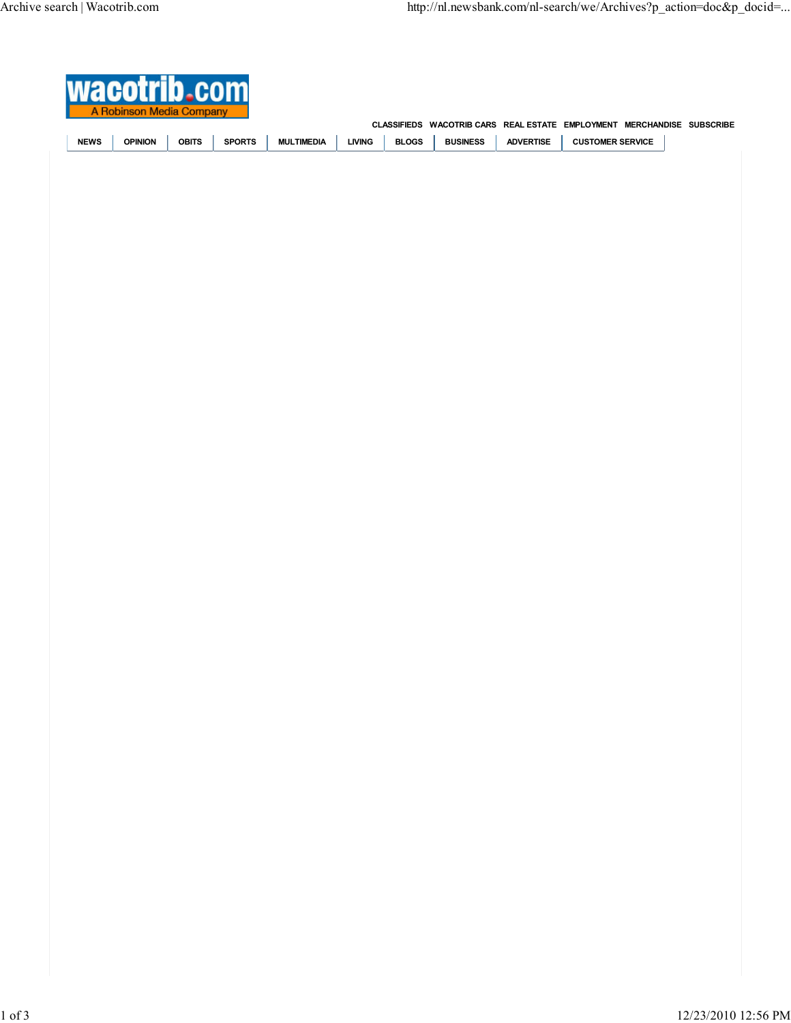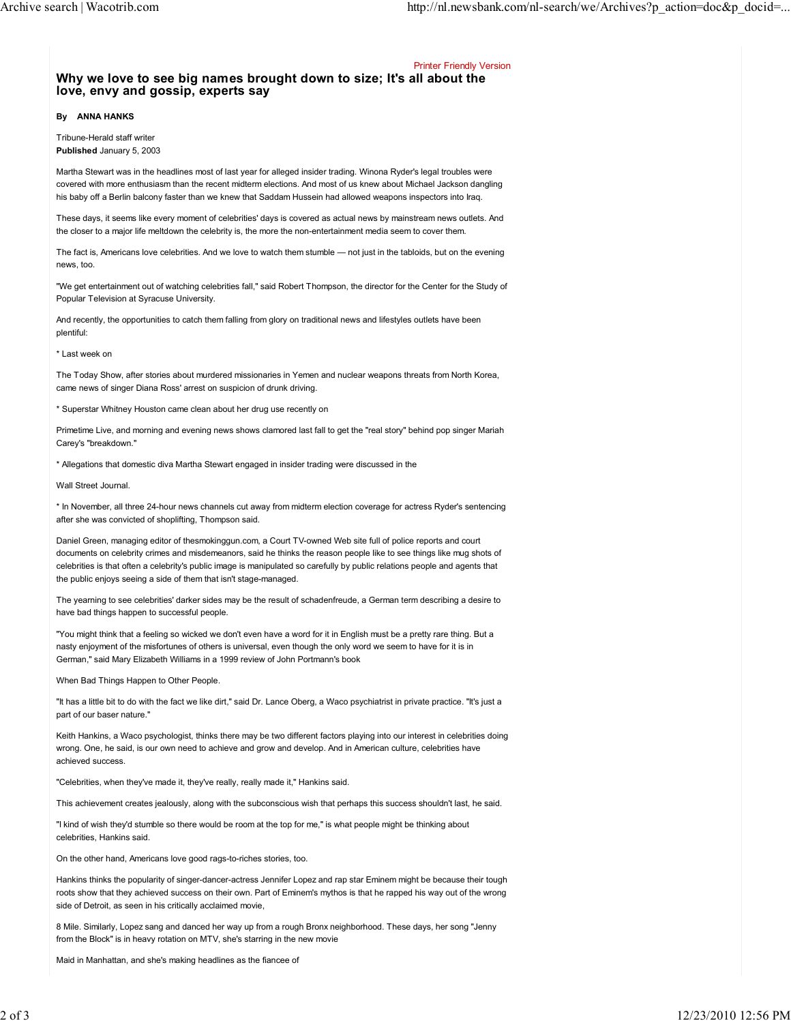Printer Friendly Version

## Why we love to see big names brought down to size; It's all about the love, envy and gossip, experts say

## By ANNA HANKS

Tribune-Herald staff writer Published January 5, 2003

Martha Stewart was in the headlines most of last year for alleged insider trading. Winona Ryder's legal troubles were covered with more enthusiasm than the recent midterm elections. And most of us knew about Michael Jackson dangling his baby off a Berlin balcony faster than we knew that Saddam Hussein had allowed weapons inspectors into Iraq.

These days, it seems like every moment of celebrities' days is covered as actual news by mainstream news outlets. And the closer to a major life meltdown the celebrity is, the more the non-entertainment media seem to cover them.

The fact is, Americans love celebrities. And we love to watch them stumble — not just in the tabloids, but on the evening news, too.

"We get entertainment out of watching celebrities fall," said Robert Thompson, the director for the Center for the Study of Popular Television at Syracuse University.

And recently, the opportunities to catch them falling from glory on traditional news and lifestyles outlets have been plentiful:

\* Last week on

The Today Show, after stories about murdered missionaries in Yemen and nuclear weapons threats from North Korea, came news of singer Diana Ross' arrest on suspicion of drunk driving.

\* Superstar Whitney Houston came clean about her drug use recently on

Primetime Live, and morning and evening news shows clamored last fall to get the "real story" behind pop singer Mariah Carey's "breakdown."

\* Allegations that domestic diva Martha Stewart engaged in insider trading were discussed in the

Wall Street Journal.

\* In November, all three 24-hour news channels cut away from midterm election coverage for actress Ryder's sentencing after she was convicted of shoplifting, Thompson said.

Daniel Green, managing editor of thesmokinggun.com, a Court TV-owned Web site full of police reports and court documents on celebrity crimes and misdemeanors, said he thinks the reason people like to see things like mug shots of celebrities is that often a celebrity's public image is manipulated so carefully by public relations people and agents that the public enjoys seeing a side of them that isn't stage-managed.

The yearning to see celebrities' darker sides may be the result of schadenfreude, a German term describing a desire to have bad things happen to successful people.

"You might think that a feeling so wicked we don't even have a word for it in English must be a pretty rare thing. But a nasty enjoyment of the misfortunes of others is universal, even though the only word we seem to have for it is in German," said Mary Elizabeth Williams in a 1999 review of John Portmann's book

When Bad Things Happen to Other People.

"It has a little bit to do with the fact we like dirt," said Dr. Lance Oberg, a Waco psychiatrist in private practice. "It's just a part of our baser nature."

Keith Hankins, a Waco psychologist, thinks there may be two different factors playing into our interest in celebrities doing wrong. One, he said, is our own need to achieve and grow and develop. And in American culture, celebrities have achieved success.

"Celebrities, when they've made it, they've really, really made it," Hankins said.

This achievement creates jealously, along with the subconscious wish that perhaps this success shouldn't last, he said.

"I kind of wish they'd stumble so there would be room at the top for me," is what people might be thinking about celebrities, Hankins said.

On the other hand, Americans love good rags-to-riches stories, too.

Hankins thinks the popularity of singer-dancer-actress Jennifer Lopez and rap star Eminem might be because their tough roots show that they achieved success on their own. Part of Eminem's mythos is that he rapped his way out of the wrong side of Detroit, as seen in his critically acclaimed movie,

8 Mile. Similarly, Lopez sang and danced her way up from a rough Bronx neighborhood. These days, her song "Jenny from the Block" is in heavy rotation on MTV, she's starring in the new movie

Maid in Manhattan, and she's making headlines as the fiancee of